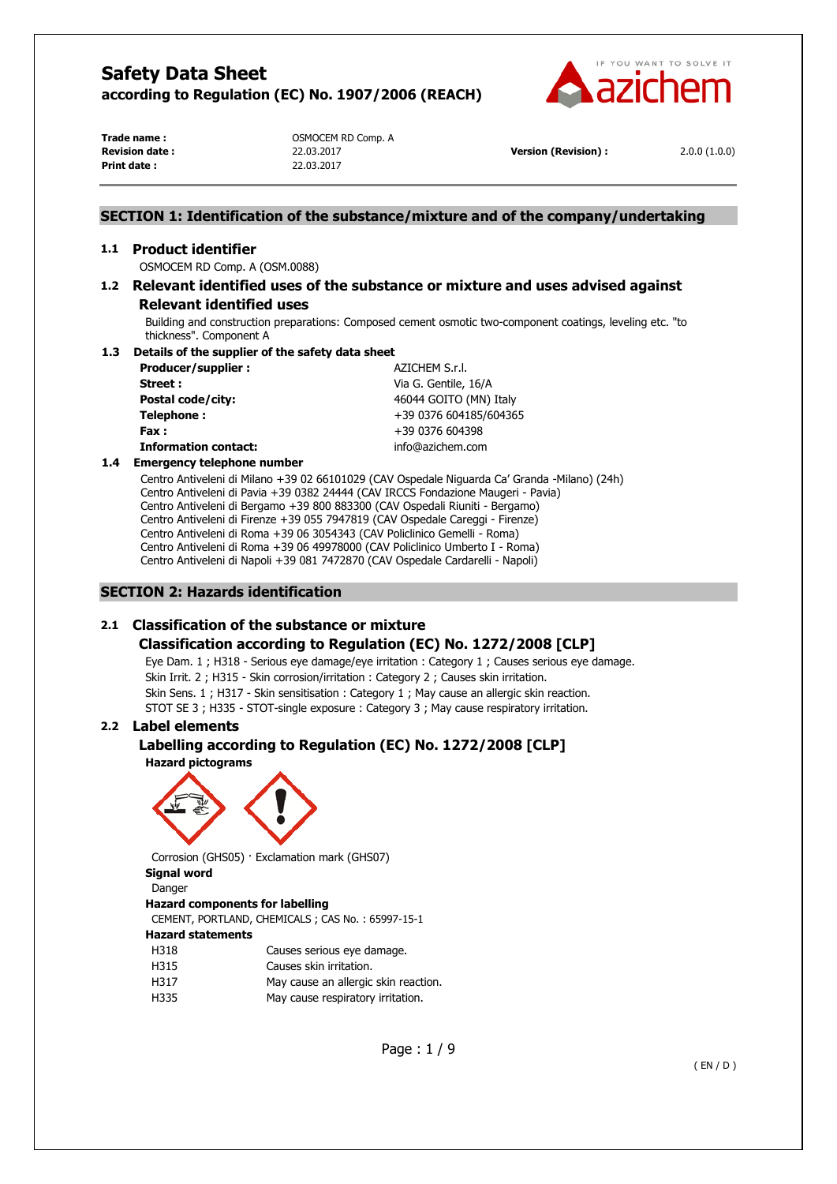

**Print date :** 22.03.2017

**Trade name :** OSMOCEM RD Comp. A

**Revision date :** 22.03.2017 **Version (Revision) :** 2.0.0 (1.0.0)

# **SECTION 1: Identification of the substance/mixture and of the company/undertaking**

## **1.1 Product identifier**

OSMOCEM RD Comp. A (OSM.0088)

# **1.2 Relevant identified uses of the substance or mixture and uses advised against Relevant identified uses**

Building and construction preparations: Composed cement osmotic two-component coatings, leveling etc. "to thickness". Component A

## **1.3 Details of the supplier of the safety data sheet**

| Producer/supplier:          | AZICHEM S.r.I.         |
|-----------------------------|------------------------|
| Street:                     | Via G. Gentile, 16/A   |
| Postal code/city:           | 46044 GOITO (MN) Italy |
| Telephone:                  | +39 0376 604185/604365 |
| Fax :                       | +39 0376 604398        |
| <b>Information contact:</b> | info@azichem.com       |
|                             |                        |

#### **1.4 Emergency telephone number**

Centro Antiveleni di Milano +39 02 66101029 (CAV Ospedale Niguarda Ca' Granda -Milano) (24h) Centro Antiveleni di Pavia +39 0382 24444 (CAV IRCCS Fondazione Maugeri - Pavia) Centro Antiveleni di Bergamo +39 800 883300 (CAV Ospedali Riuniti - Bergamo) Centro Antiveleni di Firenze +39 055 7947819 (CAV Ospedale Careggi - Firenze) Centro Antiveleni di Roma +39 06 3054343 (CAV Policlinico Gemelli - Roma) Centro Antiveleni di Roma +39 06 49978000 (CAV Policlinico Umberto I - Roma) Centro Antiveleni di Napoli +39 081 7472870 (CAV Ospedale Cardarelli - Napoli)

# **SECTION 2: Hazards identification**

# **2.1 Classification of the substance or mixture**

# **Classification according to Regulation (EC) No. 1272/2008 [CLP]**

Eye Dam. 1 ; H318 - Serious eye damage/eye irritation : Category 1 ; Causes serious eye damage. Skin Irrit. 2 ; H315 - Skin corrosion/irritation : Category 2 ; Causes skin irritation. Skin Sens. 1 ; H317 - Skin sensitisation : Category 1 ; May cause an allergic skin reaction. STOT SE 3 ; H335 - STOT-single exposure : Category 3 ; May cause respiratory irritation.

# **2.2 Label elements**

# **Labelling according to Regulation (EC) No. 1272/2008 [CLP]**

**Hazard pictograms** 



Corrosion (GHS05) · Exclamation mark (GHS07)

# **Signal word**

Danger

#### **Hazard components for labelling**

CEMENT, PORTLAND, CHEMICALS ; CAS No. : 65997-15-1

# **Hazard statements**

H318 Causes serious eve damage.

- H315 Causes skin irritation.
- H317 May cause an allergic skin reaction.
- H335 May cause respiratory irritation.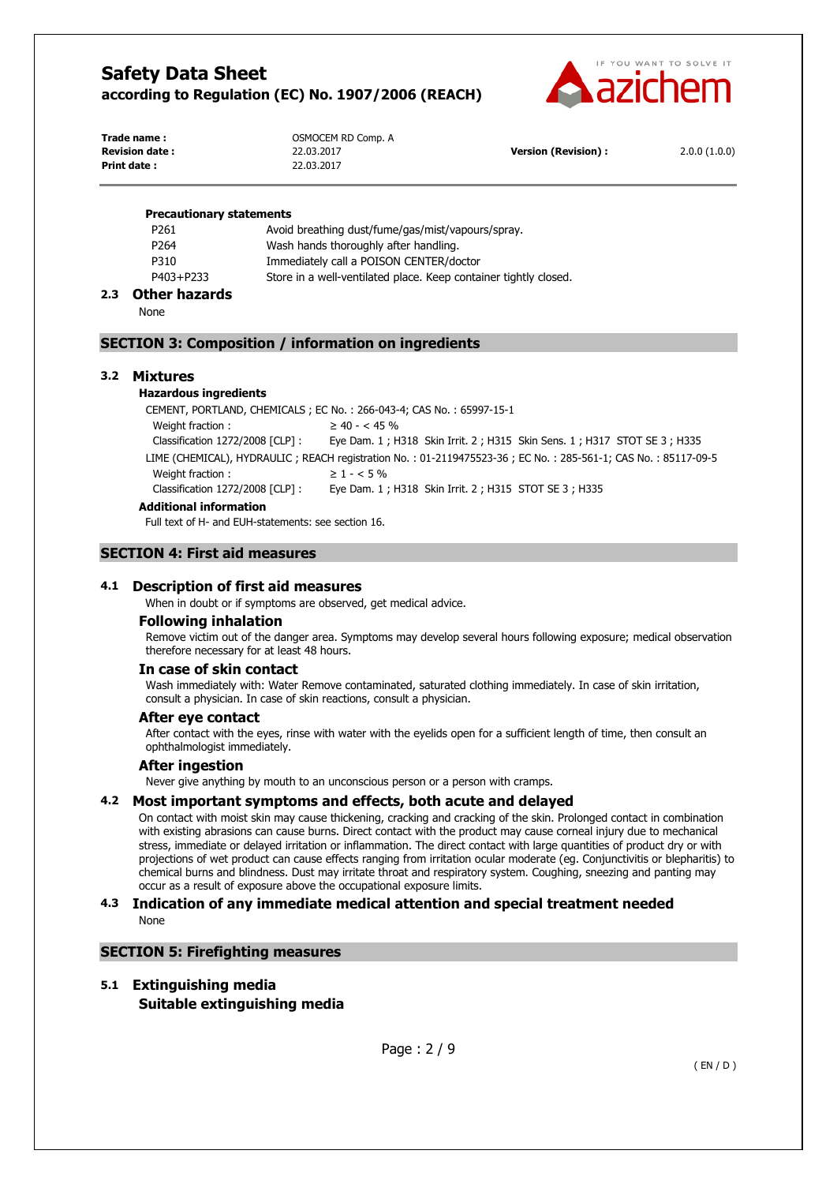

| Trade name:            | OSMOCEM RD Comp. A |                            |              |
|------------------------|--------------------|----------------------------|--------------|
| <b>Revision date :</b> | 22.03.2017         | <b>Version (Revision):</b> | 2.0.0(1.0.0) |
| Print date :           | 22.03.2017         |                            |              |

#### **Precautionary statements**

| AII I I          |                                                                  |
|------------------|------------------------------------------------------------------|
| P403+P233        | Store in a well-ventilated place. Keep container tightly closed. |
| P310             | Immediately call a POISON CENTER/doctor                          |
| P <sub>264</sub> | Wash hands thoroughly after handling.                            |
| P <sub>261</sub> | Avoid breathing dust/fume/gas/mist/vapours/spray.                |

#### **2.3 Other hazards**

None

# **SECTION 3: Composition / information on ingredients**

## **3.2 Mixtures**

#### **Hazardous ingredients**

CEMENT, PORTLAND, CHEMICALS ; EC No. : 266-043-4; CAS No. : 65997-15-1 Weight fraction :  $\geq 40 - < 45\%$ Classification 1272/2008 [CLP] : Eye Dam. 1 ; H318 Skin Irrit. 2 ; H315 Skin Sens. 1 ; H317 STOT SE 3 ; H335 LIME (CHEMICAL), HYDRAULIC ; REACH registration No. : 01-2119475523-36 ; EC No. : 285-561-1; CAS No. : 85117-09-5 Weight fraction :  $> 1 - < 5\%$ Classification 1272/2008 [CLP] : Eye Dam. 1 ; H318 Skin Irrit. 2 ; H315 STOT SE 3 ; H335 **Additional information**

Full text of H- and EUH-statements: see section 16.

# **SECTION 4: First aid measures**

# **4.1 Description of first aid measures**

When in doubt or if symptoms are observed, get medical advice.

#### **Following inhalation**

Remove victim out of the danger area. Symptoms may develop several hours following exposure; medical observation therefore necessary for at least 48 hours.

#### **In case of skin contact**

Wash immediately with: Water Remove contaminated, saturated clothing immediately. In case of skin irritation, consult a physician. In case of skin reactions, consult a physician.

#### **After eye contact**

After contact with the eyes, rinse with water with the eyelids open for a sufficient length of time, then consult an ophthalmologist immediately.

#### **After ingestion**

Never give anything by mouth to an unconscious person or a person with cramps.

# **4.2 Most important symptoms and effects, both acute and delayed**

On contact with moist skin may cause thickening, cracking and cracking of the skin. Prolonged contact in combination with existing abrasions can cause burns. Direct contact with the product may cause corneal injury due to mechanical stress, immediate or delayed irritation or inflammation. The direct contact with large quantities of product dry or with projections of wet product can cause effects ranging from irritation ocular moderate (eg. Conjunctivitis or blepharitis) to chemical burns and blindness. Dust may irritate throat and respiratory system. Coughing, sneezing and panting may occur as a result of exposure above the occupational exposure limits.

## **4.3 Indication of any immediate medical attention and special treatment needed**  None

#### **SECTION 5: Firefighting measures**

#### **5.1 Extinguishing media**

**Suitable extinguishing media**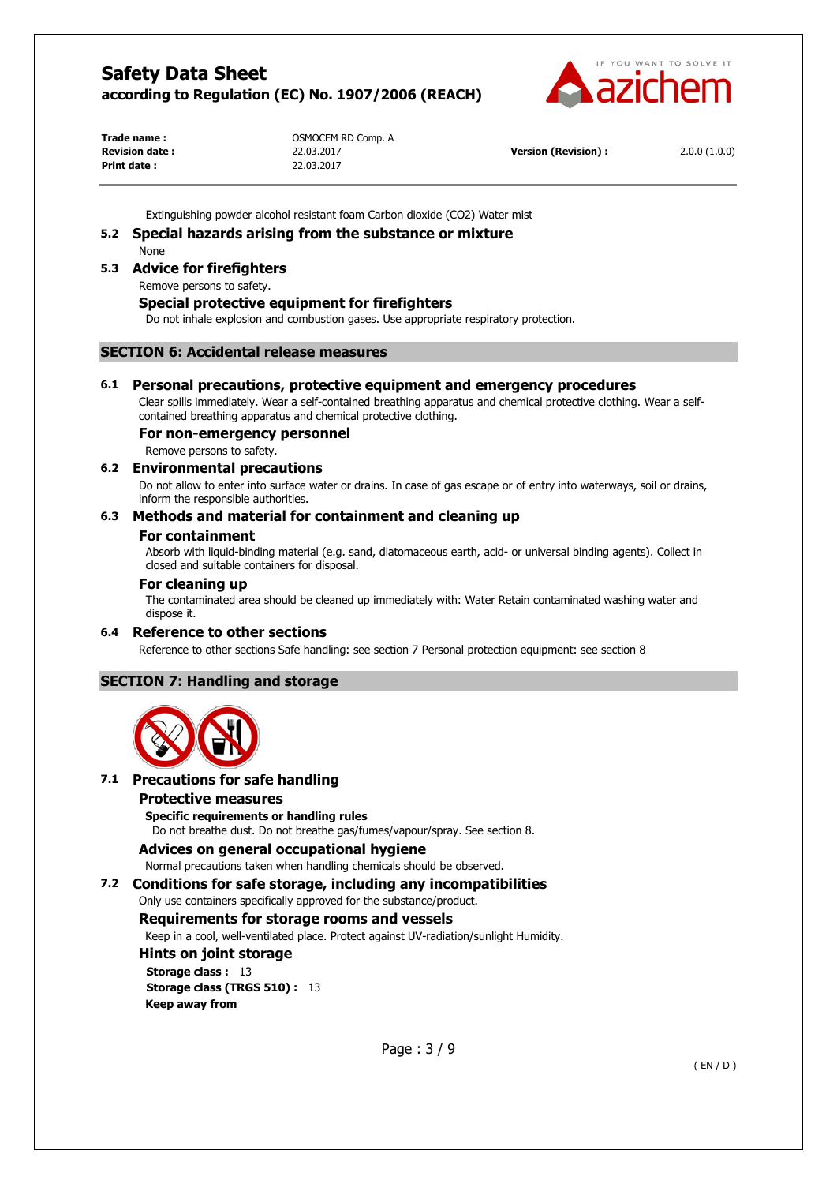

**Print date :** 22.03.2017

**Trade name :** OSMOCEM RD Comp. A

**Revision date :** 22.03.2017 **Version (Revision) :** 2.0.0 (1.0.0)

Extinguishing powder alcohol resistant foam Carbon dioxide (CO2) Water mist

#### **5.2 Special hazards arising from the substance or mixture**  None

**5.3 Advice for firefighters** 

Remove persons to safety.

# **Special protective equipment for firefighters**

Do not inhale explosion and combustion gases. Use appropriate respiratory protection.

# **SECTION 6: Accidental release measures**

# **6.1 Personal precautions, protective equipment and emergency procedures**

Clear spills immediately. Wear a self-contained breathing apparatus and chemical protective clothing. Wear a selfcontained breathing apparatus and chemical protective clothing.

# **For non-emergency personnel**

Remove persons to safety.

## **6.2 Environmental precautions**

Do not allow to enter into surface water or drains. In case of gas escape or of entry into waterways, soil or drains, inform the responsible authorities.

# **6.3 Methods and material for containment and cleaning up**

#### **For containment**

Absorb with liquid-binding material (e.g. sand, diatomaceous earth, acid- or universal binding agents). Collect in closed and suitable containers for disposal.

#### **For cleaning up**

The contaminated area should be cleaned up immediately with: Water Retain contaminated washing water and dispose it.

#### **6.4 Reference to other sections**

Reference to other sections Safe handling: see section 7 Personal protection equipment: see section 8

# **SECTION 7: Handling and storage**



# **7.1 Precautions for safe handling**

#### **Protective measures**

**Specific requirements or handling rules** 

Do not breathe dust. Do not breathe gas/fumes/vapour/spray. See section 8.

# **Advices on general occupational hygiene**

Normal precautions taken when handling chemicals should be observed.

**7.2 Conditions for safe storage, including any incompatibilities** 

Only use containers specifically approved for the substance/product.

# **Requirements for storage rooms and vessels**

Keep in a cool, well-ventilated place. Protect against UV-radiation/sunlight Humidity.

**Hints on joint storage Storage class :** 13 **Storage class (TRGS 510) :** 13 **Keep away from**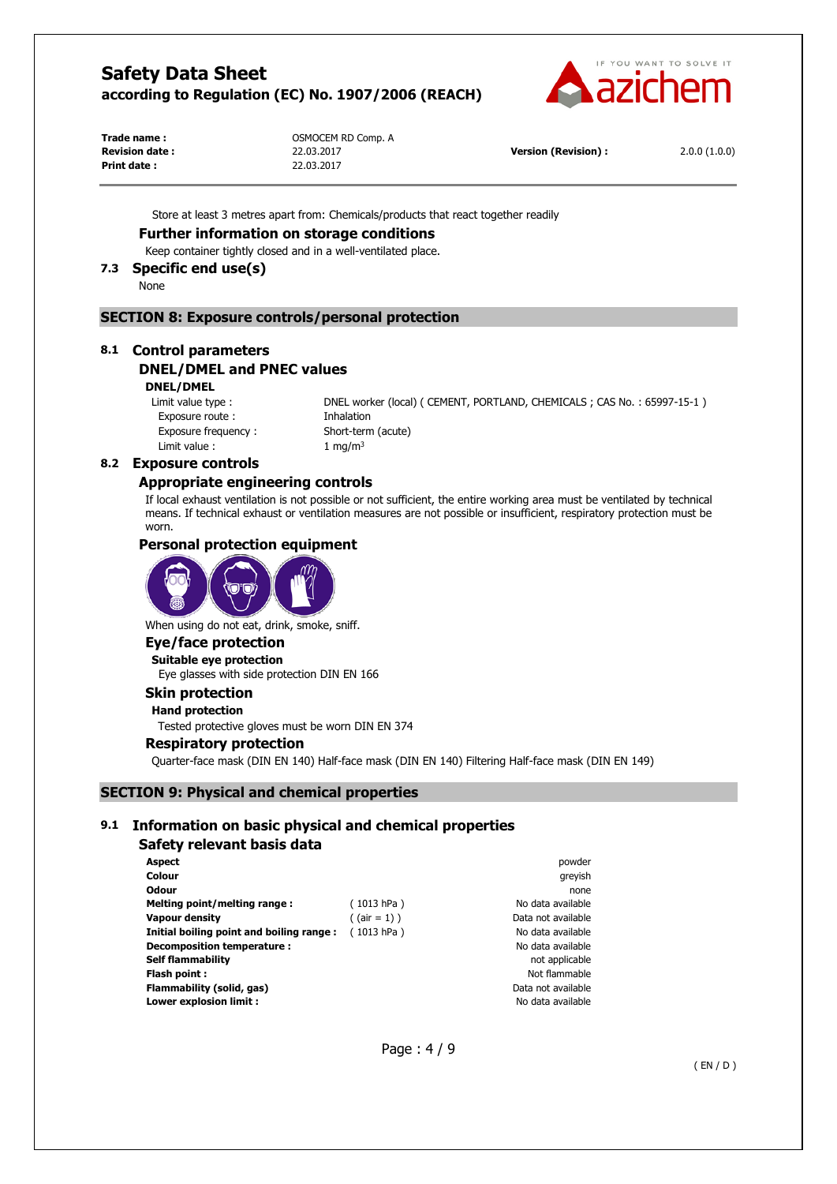

**Print date :** 22.03.2017

Trade name : **COMPLAN COMPLAN COMPLAN COMPLAN COMPLAN COMPLAN COMPLAN COMPLAN COMPLAN COMPLAN COMPLAN COMPLAN COMPLAN COMPLAN COMPLAN COMPLAN COMPLAN COMPLAN COMPLAN COMPLAN COMPLAN COMPLAN COMPLAN COMPLAN COMPLAN COMPLAN** 

**Revision date :** 22.03.2017 **Version (Revision) :** 2.0.0 (1.0.0)

Store at least 3 metres apart from: Chemicals/products that react together readily

#### **Further information on storage conditions**

Keep container tightly closed and in a well-ventilated place.

# **7.3 Specific end use(s)**

None

## **SECTION 8: Exposure controls/personal protection**

# **8.1 Control parameters DNEL/DMEL and PNEC values**

**DNEL/DMEL** 

Exposure route : Thhalation Exposure frequency : Short-term (acute) Limit value :  $1 \text{ mg/m}^3$ 

Limit value type : DNEL worker (local) ( CEMENT, PORTLAND, CHEMICALS ; CAS No. : 65997-15-1 )

# **8.2 Exposure controls**

## **Appropriate engineering controls**

If local exhaust ventilation is not possible or not sufficient, the entire working area must be ventilated by technical means. If technical exhaust or ventilation measures are not possible or insufficient, respiratory protection must be worn.

#### **Personal protection equipment**



When using do not eat, drink, smoke, sniff.

# **Eye/face protection**

**Suitable eye protection**  Eye glasses with side protection DIN EN 166

# **Skin protection**

# **Hand protection**

Tested protective gloves must be worn DIN EN 374

#### **Respiratory protection**

Quarter-face mask (DIN EN 140) Half-face mask (DIN EN 140) Filtering Half-face mask (DIN EN 149)

# **SECTION 9: Physical and chemical properties**

# **9.1 Information on basic physical and chemical properties**

#### **Safety relevant basis data**

| <b>Aspect</b>                            |                 | powder             |
|------------------------------------------|-----------------|--------------------|
| <b>Colour</b>                            |                 | greyish            |
| <b>Odour</b>                             |                 | none               |
| Melting point/melting range:             | (1013 hPa)      | No data available  |
| Vapour density                           | $($ (air = 1) ) | Data not available |
| Initial boiling point and boiling range: | (1013 hPa)      | No data available  |
| Decomposition temperature :              |                 | No data available  |
| <b>Self flammability</b>                 |                 | not applicable     |
| Flash point:                             |                 | Not flammable      |
| Flammability (solid, gas)                |                 | Data not available |
| Lower explosion limit :                  |                 | No data available  |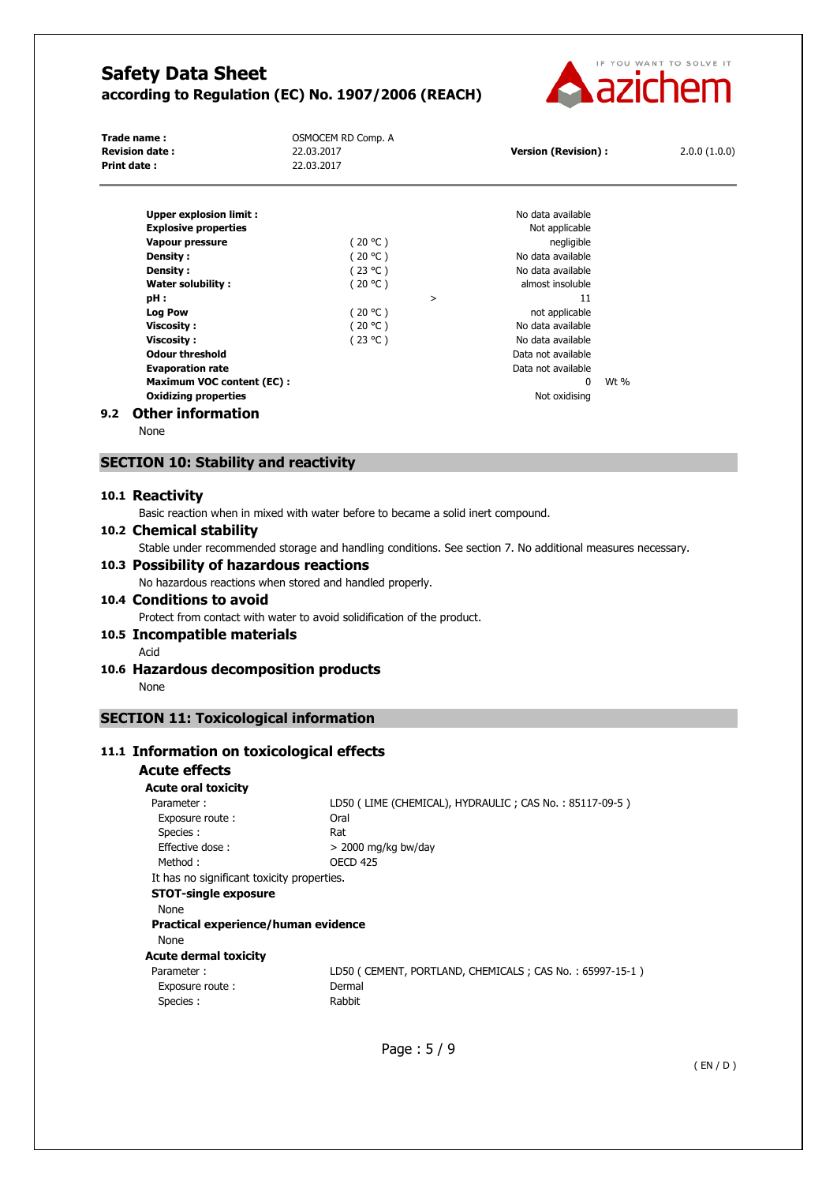

| Trade name:                      | OSMOCEM RD Comp. A |        |                            |      |              |
|----------------------------------|--------------------|--------|----------------------------|------|--------------|
| <b>Revision date:</b>            | 22.03.2017         |        | <b>Version (Revision):</b> |      | 2.0.0(1.0.0) |
| <b>Print date:</b>               | 22.03.2017         |        |                            |      |              |
|                                  |                    |        |                            |      |              |
| <b>Upper explosion limit:</b>    |                    |        | No data available          |      |              |
| <b>Explosive properties</b>      |                    |        | Not applicable             |      |              |
| Vapour pressure                  | (20 °C )           |        | negligible                 |      |              |
| <b>Density:</b>                  | (20 °C )           |        | No data available          |      |              |
| Density:                         | (23 °C )           |        | No data available          |      |              |
| Water solubility:                | (20 °C )           |        | almost insoluble           |      |              |
| pH :                             |                    | $\geq$ | 11                         |      |              |
| <b>Log Pow</b>                   | (20 °C )           |        | not applicable             |      |              |
| Viscosity:                       | ′ 20 °C )          |        | No data available          |      |              |
| Viscosity:                       | (23 °C )           |        | No data available          |      |              |
| <b>Odour threshold</b>           |                    |        | Data not available         |      |              |
| <b>Evaporation rate</b>          |                    |        | Data not available         |      |              |
| <b>Maximum VOC content (EC):</b> |                    |        | $\mathbf{0}$               | Wt % |              |
| <b>Oxidizing properties</b>      |                    |        | Not oxidising              |      |              |
| .                                |                    |        |                            |      |              |

## **9.2 Other information**

None

# **SECTION 10: Stability and reactivity**

# **10.1 Reactivity**

Basic reaction when in mixed with water before to became a solid inert compound.

# **10.2 Chemical stability**

Stable under recommended storage and handling conditions. See section 7. No additional measures necessary.

# **10.3 Possibility of hazardous reactions**

No hazardous reactions when stored and handled properly.

# **10.4 Conditions to avoid**

Protect from contact with water to avoid solidification of the product.

#### **10.5 Incompatible materials**

Acid

#### **10.6 Hazardous decomposition products**  None

# **SECTION 11: Toxicological information**

# **11.1 Information on toxicological effects**

| Acute effects                              |                                                         |
|--------------------------------------------|---------------------------------------------------------|
| <b>Acute oral toxicity</b>                 |                                                         |
| Parameter:                                 | LD50 (LIME (CHEMICAL), HYDRAULIC; CAS No.: 85117-09-5)  |
| Exposure route:                            | Oral                                                    |
| Species :                                  | Rat                                                     |
| Effective dose:                            | $>$ 2000 mg/kg bw/day                                   |
| Method:                                    | <b>OECD 425</b>                                         |
| It has no significant toxicity properties. |                                                         |
| <b>STOT-single exposure</b>                |                                                         |
| <b>None</b>                                |                                                         |
| Practical experience/human evidence        |                                                         |
| None                                       |                                                         |
| <b>Acute dermal toxicity</b>               |                                                         |
| Parameter:                                 | LD50 (CEMENT, PORTLAND, CHEMICALS; CAS No.: 65997-15-1) |
| Exposure route:                            | Dermal                                                  |
| Species:                                   | Rabbit                                                  |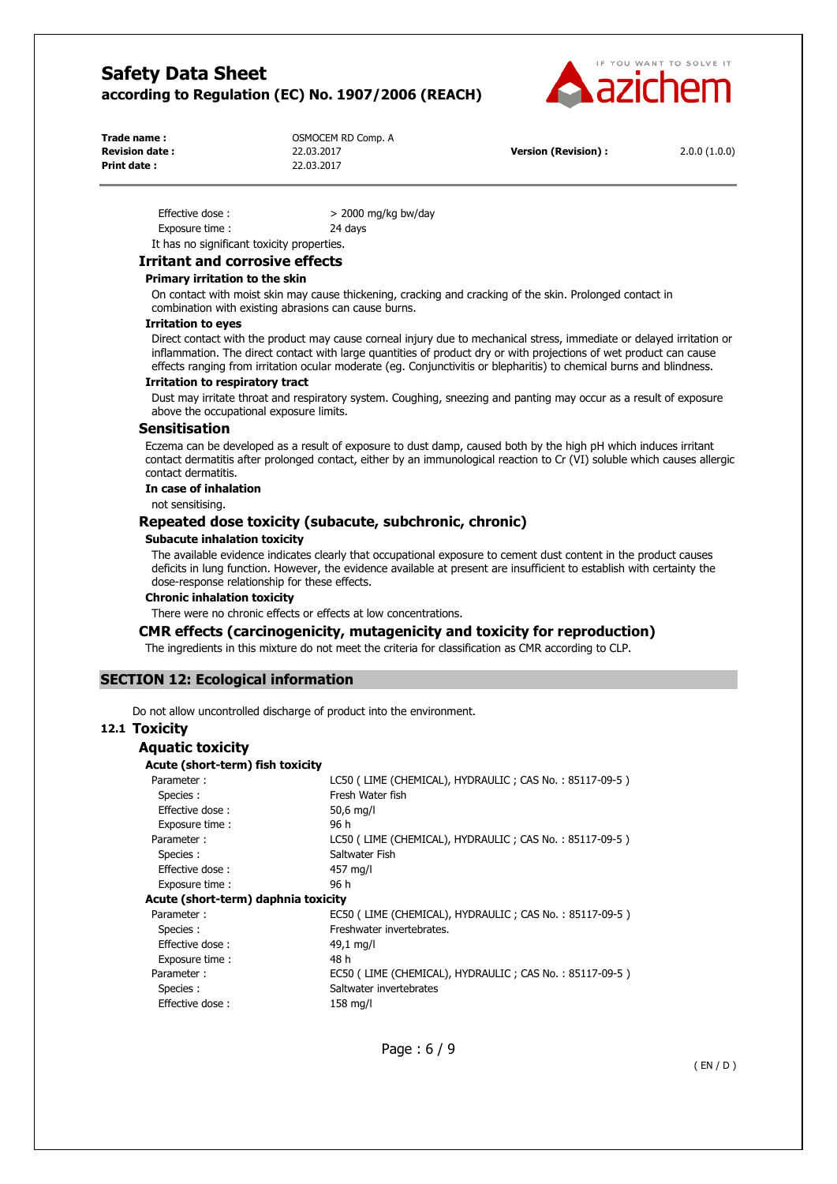

| Trade name:           | OSMOCEM RD Comp. A |
|-----------------------|--------------------|
| <b>Revision date:</b> | 22.03.2017         |
| Print date:           | 22.03.2017         |

**Revision (Revision) :** 2.0.0 (1.0.0)

| Effective dose:                            | $>$ 2000 mg/kg bw/day |
|--------------------------------------------|-----------------------|
| Exposure time:                             | 24 days               |
| It has no significant toxicity properties. |                       |

## **Irritant and corrosive effects**

#### **Primary irritation to the skin**

On contact with moist skin may cause thickening, cracking and cracking of the skin. Prolonged contact in combination with existing abrasions can cause burns.

#### **Irritation to eyes**

Direct contact with the product may cause corneal injury due to mechanical stress, immediate or delayed irritation or inflammation. The direct contact with large quantities of product dry or with projections of wet product can cause effects ranging from irritation ocular moderate (eg. Conjunctivitis or blepharitis) to chemical burns and blindness.

#### **Irritation to respiratory tract**

Dust may irritate throat and respiratory system. Coughing, sneezing and panting may occur as a result of exposure above the occupational exposure limits.

#### **Sensitisation**

Eczema can be developed as a result of exposure to dust damp, caused both by the high pH which induces irritant contact dermatitis after prolonged contact, either by an immunological reaction to Cr (VI) soluble which causes allergic contact dermatitis.

#### **In case of inhalation**

not sensitising.

# **Repeated dose toxicity (subacute, subchronic, chronic)**

#### **Subacute inhalation toxicity**

The available evidence indicates clearly that occupational exposure to cement dust content in the product causes deficits in lung function. However, the evidence available at present are insufficient to establish with certainty the dose-response relationship for these effects.

#### **Chronic inhalation toxicity**

There were no chronic effects or effects at low concentrations.

#### **CMR effects (carcinogenicity, mutagenicity and toxicity for reproduction)**

The ingredients in this mixture do not meet the criteria for classification as CMR according to CLP.

# **SECTION 12: Ecological information**

Do not allow uncontrolled discharge of product into the environment.

# **12.1 Toxicity**

| Aquatic toxicity                    |                                                        |
|-------------------------------------|--------------------------------------------------------|
| Acute (short-term) fish toxicity    |                                                        |
| Parameter:                          | LC50 (LIME (CHEMICAL), HYDRAULIC; CAS No.: 85117-09-5) |
| Species :                           | Fresh Water fish                                       |
| Effective dose:                     | 50,6 mg/l                                              |
| Exposure time:                      | 96 h                                                   |
| Parameter:                          | LC50 (LIME (CHEMICAL), HYDRAULIC; CAS No.: 85117-09-5) |
| Species :                           | Saltwater Fish                                         |
| <b>Effective dose:</b>              | 457 mg/l                                               |
| Exposure time:                      | 96 h                                                   |
| Acute (short-term) daphnia toxicity |                                                        |
| Parameter:                          | EC50 (LIME (CHEMICAL), HYDRAULIC; CAS No.: 85117-09-5) |
| Species :                           | Freshwater invertebrates.                              |
| Effective dose:                     | 49,1 mg/l                                              |
| Exposure time:                      | 48 h                                                   |
| Parameter:                          | EC50 (LIME (CHEMICAL), HYDRAULIC; CAS No.: 85117-09-5) |
| Species :                           | Saltwater invertebrates                                |
| Effective dose:                     | $158$ mg/l                                             |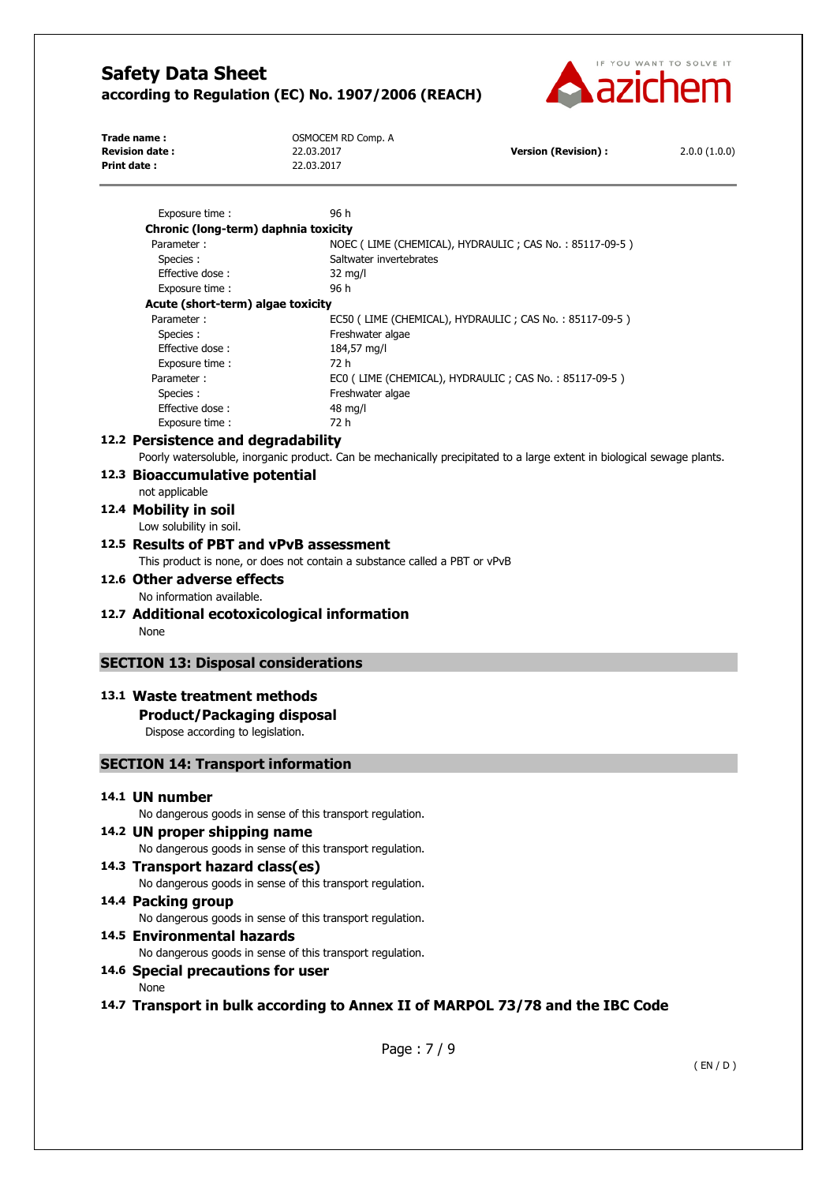

| Trade name:           | OSMOCEM RD Comp. A |                            |              |
|-----------------------|--------------------|----------------------------|--------------|
| <b>Revision date:</b> | 22.03.2017         | <b>Version (Revision):</b> | 2.0.0(1.0.0) |
| Print date :          | 22.03.2017         |                            |              |
|                       |                    |                            |              |

| Exposure time :                                           | 96 h                                                                                                                    |
|-----------------------------------------------------------|-------------------------------------------------------------------------------------------------------------------------|
| Chronic (long-term) daphnia toxicity                      |                                                                                                                         |
| Parameter:                                                | NOEC (LIME (CHEMICAL), HYDRAULIC; CAS No.: 85117-09-5)                                                                  |
| Species:                                                  | Saltwater invertebrates                                                                                                 |
| Effective dose:                                           | $32 \text{ mg/l}$                                                                                                       |
| Exposure time:                                            | 96 h                                                                                                                    |
| Acute (short-term) algae toxicity                         |                                                                                                                         |
| Parameter:                                                | EC50 (LIME (CHEMICAL), HYDRAULIC; CAS No.: 85117-09-5)                                                                  |
| Species:                                                  | Freshwater algae                                                                                                        |
| Effective dose:                                           | 184,57 mg/l                                                                                                             |
| Exposure time :                                           | 72 h                                                                                                                    |
| Parameter:                                                | ECO (LIME (CHEMICAL), HYDRAULIC; CAS No.: 85117-09-5)                                                                   |
| Species:                                                  | Freshwater algae                                                                                                        |
| Effective dose:                                           | 48 mg/l                                                                                                                 |
| Exposure time :                                           | 72 h                                                                                                                    |
| 12.2 Persistence and degradability                        |                                                                                                                         |
|                                                           | Poorly watersoluble, inorganic product. Can be mechanically precipitated to a large extent in biological sewage plants. |
| 12.3 Bioaccumulative potential                            |                                                                                                                         |
| not applicable                                            |                                                                                                                         |
| 12.4 Mobility in soil                                     |                                                                                                                         |
|                                                           |                                                                                                                         |
| Low solubility in soil.                                   |                                                                                                                         |
| 12.5 Results of PBT and vPvB assessment                   |                                                                                                                         |
|                                                           | This product is none, or does not contain a substance called a PBT or vPvB                                              |
| 12.6 Other adverse effects                                |                                                                                                                         |
| No information available.                                 |                                                                                                                         |
| 12.7 Additional ecotoxicological information              |                                                                                                                         |
|                                                           |                                                                                                                         |
| None                                                      |                                                                                                                         |
|                                                           |                                                                                                                         |
| <b>SECTION 13: Disposal considerations</b>                |                                                                                                                         |
| 13.1 Waste treatment methods                              |                                                                                                                         |
|                                                           |                                                                                                                         |
| <b>Product/Packaging disposal</b>                         |                                                                                                                         |
| Dispose according to legislation.                         |                                                                                                                         |
| <b>SECTION 14: Transport information</b>                  |                                                                                                                         |
|                                                           |                                                                                                                         |
| 14.1 UN number                                            |                                                                                                                         |
| No dangerous goods in sense of this transport regulation. |                                                                                                                         |
| 14.2 UN proper shipping name                              |                                                                                                                         |
| No dangerous goods in sense of this transport regulation. |                                                                                                                         |
|                                                           |                                                                                                                         |
| 14.3 Transport hazard class(es)                           |                                                                                                                         |
| No dangerous goods in sense of this transport regulation. |                                                                                                                         |
| 14.4 Packing group                                        |                                                                                                                         |
| No dangerous goods in sense of this transport regulation. |                                                                                                                         |
| 14.5 Environmental hazards                                |                                                                                                                         |
| No dangerous goods in sense of this transport regulation. |                                                                                                                         |
| 14.6 Special precautions for user                         |                                                                                                                         |
| None                                                      |                                                                                                                         |
|                                                           | 14.7 Transport in bulk according to Annex II of MARPOL 73/78 and the IBC Code                                           |

Page : 7 / 9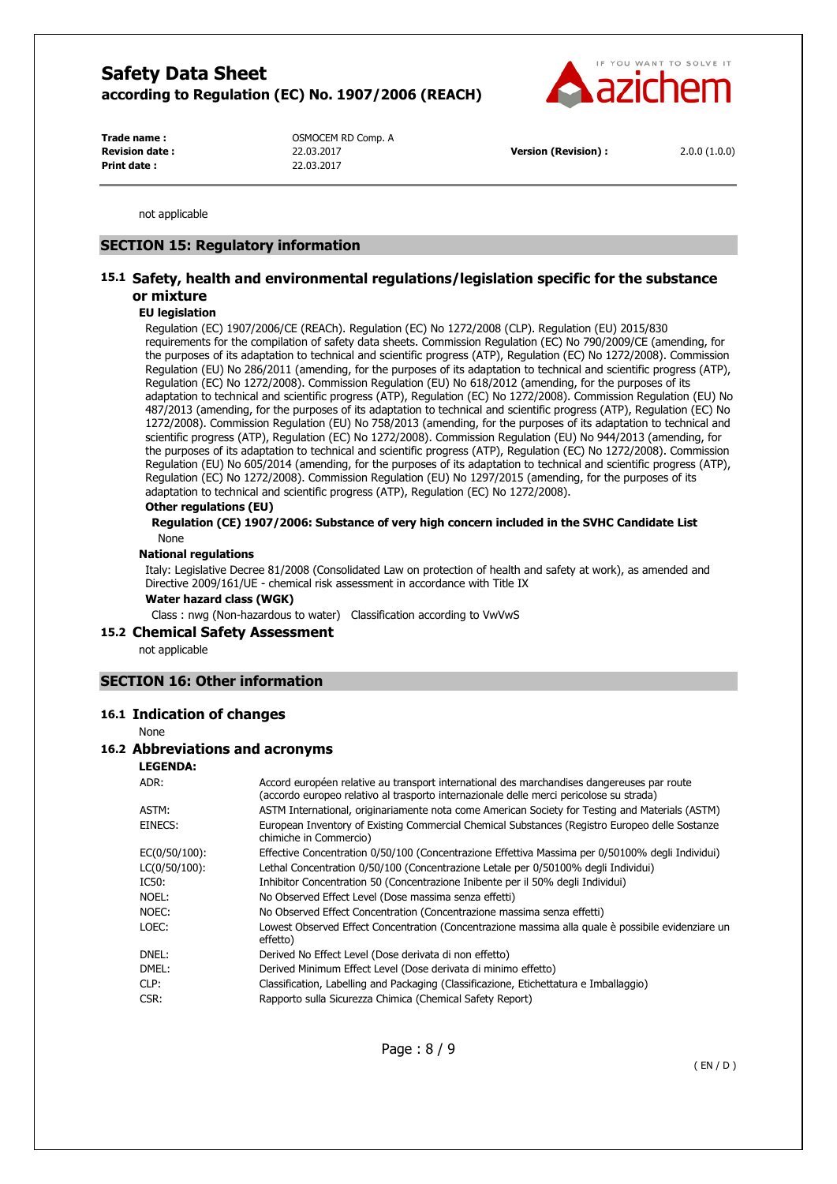

**Print date :** 22.03.2017

Trade name : **COMPLAN COMPLAN COMPLAN COMPLAN COMPLAN COMPLAN COMPLAN COMPLAN COMPLAN COMPLAN COMPLAN COMPLAN COMPLAN COMPLAN COMPLAN COMPLAN COMPLAN COMPLAN COMPLAN COMPLAN COMPLAN COMPLAN COMPLAN COMPLAN COMPLAN COMPLAN Revision date :** 22.03.2017 **Version (Revision) :** 2.0.0 (1.0.0)

not applicable

#### **SECTION 15: Regulatory information**

# **15.1 Safety, health and environmental regulations/legislation specific for the substance or mixture**

#### **EU legislation**

Regulation (EC) 1907/2006/CE (REACh). Regulation (EC) No 1272/2008 (CLP). Regulation (EU) 2015/830 requirements for the compilation of safety data sheets. Commission Regulation (EC) No 790/2009/CE (amending, for the purposes of its adaptation to technical and scientific progress (ATP), Regulation (EC) No 1272/2008). Commission Regulation (EU) No 286/2011 (amending, for the purposes of its adaptation to technical and scientific progress (ATP), Regulation (EC) No 1272/2008). Commission Regulation (EU) No 618/2012 (amending, for the purposes of its adaptation to technical and scientific progress (ATP), Regulation (EC) No 1272/2008). Commission Regulation (EU) No 487/2013 (amending, for the purposes of its adaptation to technical and scientific progress (ATP), Regulation (EC) No 1272/2008). Commission Regulation (EU) No 758/2013 (amending, for the purposes of its adaptation to technical and scientific progress (ATP), Regulation (EC) No 1272/2008). Commission Regulation (EU) No 944/2013 (amending, for the purposes of its adaptation to technical and scientific progress (ATP), Regulation (EC) No 1272/2008). Commission Regulation (EU) No 605/2014 (amending, for the purposes of its adaptation to technical and scientific progress (ATP), Regulation (EC) No 1272/2008). Commission Regulation (EU) No 1297/2015 (amending, for the purposes of its adaptation to technical and scientific progress (ATP), Regulation (EC) No 1272/2008).

#### **Other regulations (EU)**

**Regulation (CE) 1907/2006: Substance of very high concern included in the SVHC Candidate List**  None

#### **National regulations**

Italy: Legislative Decree 81/2008 (Consolidated Law on protection of health and safety at work), as amended and Directive 2009/161/UE - chemical risk assessment in accordance with Title IX

**Water hazard class (WGK)** 

Class : nwg (Non-hazardous to water) Classification according to VwVwS

#### **15.2 Chemical Safety Assessment**

not applicable

#### **SECTION 16: Other information**

#### **16.1 Indication of changes**

None

## **16.2 Abbreviations and acronyms**

#### **LEGENDA:**

| ADR:          | Accord européen relative au transport international des marchandises dangereuses par route<br>(accordo europeo relativo al trasporto internazionale delle merci pericolose su strada) |
|---------------|---------------------------------------------------------------------------------------------------------------------------------------------------------------------------------------|
| ASTM:         | ASTM International, originariamente nota come American Society for Testing and Materials (ASTM)                                                                                       |
| EINECS:       | European Inventory of Existing Commercial Chemical Substances (Registro Europeo delle Sostanze<br>chimiche in Commercio)                                                              |
| EC(0/50/100): | Effective Concentration 0/50/100 (Concentrazione Effettiva Massima per 0/50100% degli Individui)                                                                                      |
| LC(0/50/100): | Lethal Concentration 0/50/100 (Concentrazione Letale per 0/50100% degli Individui)                                                                                                    |
| IC50:         | Inhibitor Concentration 50 (Concentrazione Inibente per il 50% degli Individui)                                                                                                       |
| NOEL:         | No Observed Effect Level (Dose massima senza effetti)                                                                                                                                 |
| NOEC:         | No Observed Effect Concentration (Concentrazione massima senza effetti)                                                                                                               |
| LOEC:         | Lowest Observed Effect Concentration (Concentrazione massima alla quale è possibile evidenziare un<br>effetto)                                                                        |
| DNEL:         | Derived No Effect Level (Dose derivata di non effetto)                                                                                                                                |
| DMEL:         | Derived Minimum Effect Level (Dose derivata di minimo effetto)                                                                                                                        |
| CLP:          | Classification, Labelling and Packaging (Classificazione, Etichettatura e Imballaggio)                                                                                                |
| CSR:          | Rapporto sulla Sicurezza Chimica (Chemical Safety Report)                                                                                                                             |